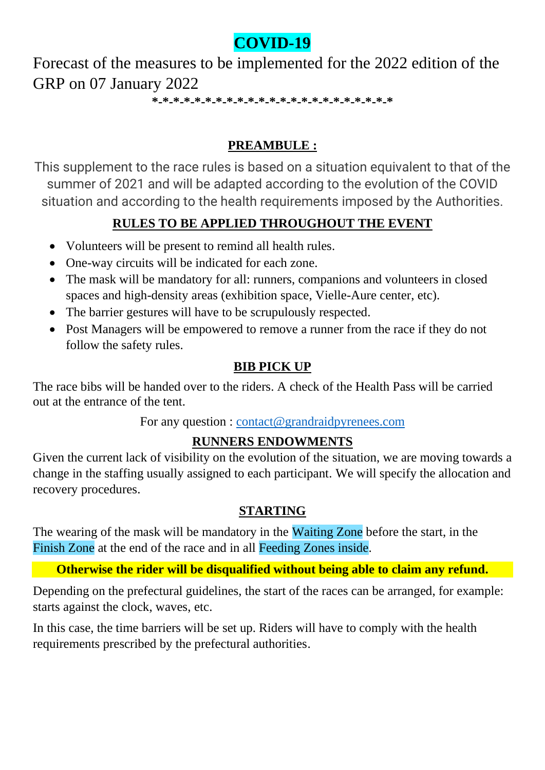# **COVID-19**

Forecast of the measures to be implemented for the 2022 edition of the GRP on 07 January 2022

**\*-\*-\*-\*-\*-\*-\*-\*-\*-\*-\*-\*-\*-\*-\*-\*-\*-\*-\*-\*-\*-\*-\***

## **PREAMBULE :**

This supplement to the race rules is based on a situation equivalent to that of the summer of 2021 and will be adapted according to the evolution of the COVID situation and according to the health requirements imposed by the Authorities.

## **RULES TO BE APPLIED THROUGHOUT THE EVENT**

- Volunteers will be present to remind all health rules.
- One-way circuits will be indicated for each zone.
- The mask will be mandatory for all: runners, companions and volunteers in closed spaces and high-density areas (exhibition space, Vielle-Aure center, etc).
- The barrier gestures will have to be scrupulously respected.
- Post Managers will be empowered to remove a runner from the race if they do not follow the safety rules.

#### **BIB PICK UP**

The race bibs will be handed over to the riders. A check of the Health Pass will be carried out at the entrance of the tent.

For any question : [contact@grandraidpyrenees.com](mailto:contact@grandraidpyrenees.com)

## **RUNNERS ENDOWMENTS**

Given the current lack of visibility on the evolution of the situation, we are moving towards a change in the staffing usually assigned to each participant. We will specify the allocation and recovery procedures.

#### **STARTING**

The wearing of the mask will be mandatory in the Waiting Zone before the start, in the Finish Zone at the end of the race and in all Feeding Zones inside.

#### **Otherwise the rider will be disqualified without being able to claim any refund.**

Depending on the prefectural guidelines, the start of the races can be arranged, for example: starts against the clock, waves, etc.

In this case, the time barriers will be set up. Riders will have to comply with the health requirements prescribed by the prefectural authorities.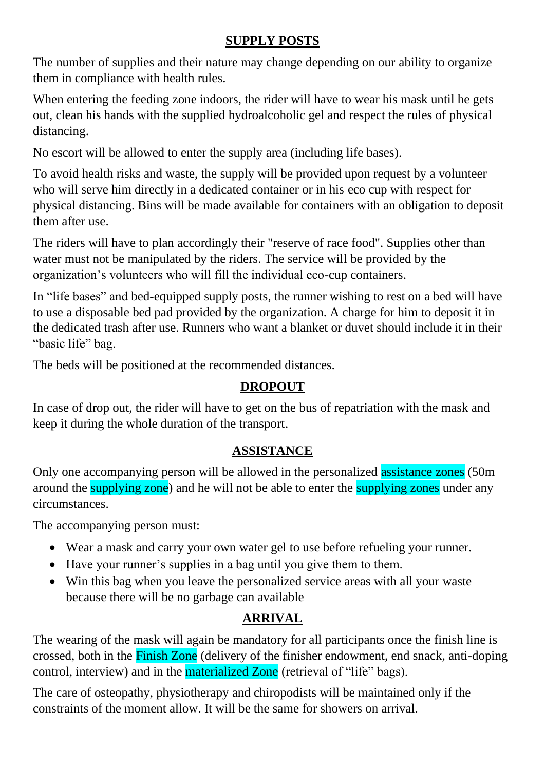#### **SUPPLY POSTS**

The number of supplies and their nature may change depending on our ability to organize them in compliance with health rules.

When entering the feeding zone indoors, the rider will have to wear his mask until he gets out, clean his hands with the supplied hydroalcoholic gel and respect the rules of physical distancing.

No escort will be allowed to enter the supply area (including life bases).

To avoid health risks and waste, the supply will be provided upon request by a volunteer who will serve him directly in a dedicated container or in his eco cup with respect for physical distancing. Bins will be made available for containers with an obligation to deposit them after use.

The riders will have to plan accordingly their "reserve of race food". Supplies other than water must not be manipulated by the riders. The service will be provided by the organization's volunteers who will fill the individual eco-cup containers.

In "life bases" and bed-equipped supply posts, the runner wishing to rest on a bed will have to use a disposable bed pad provided by the organization. A charge for him to deposit it in the dedicated trash after use. Runners who want a blanket or duvet should include it in their "basic life" bag.

The beds will be positioned at the recommended distances.

## **DROPOUT**

In case of drop out, the rider will have to get on the bus of repatriation with the mask and keep it during the whole duration of the transport.

## **ASSISTANCE**

Only one accompanying person will be allowed in the personalized assistance zones (50m) around the supplying zone) and he will not be able to enter the supplying zones under any circumstances.

The accompanying person must:

- Wear a mask and carry your own water gel to use before refueling your runner.
- Have your runner's supplies in a bag until you give them to them.
- Win this bag when you leave the personalized service areas with all your waste because there will be no garbage can available

# **ARRIVAL**

The wearing of the mask will again be mandatory for all participants once the finish line is crossed, both in the Finish Zone (delivery of the finisher endowment, end snack, anti-doping control, interview) and in the materialized Zone (retrieval of "life" bags).

The care of osteopathy, physiotherapy and chiropodists will be maintained only if the constraints of the moment allow. It will be the same for showers on arrival.